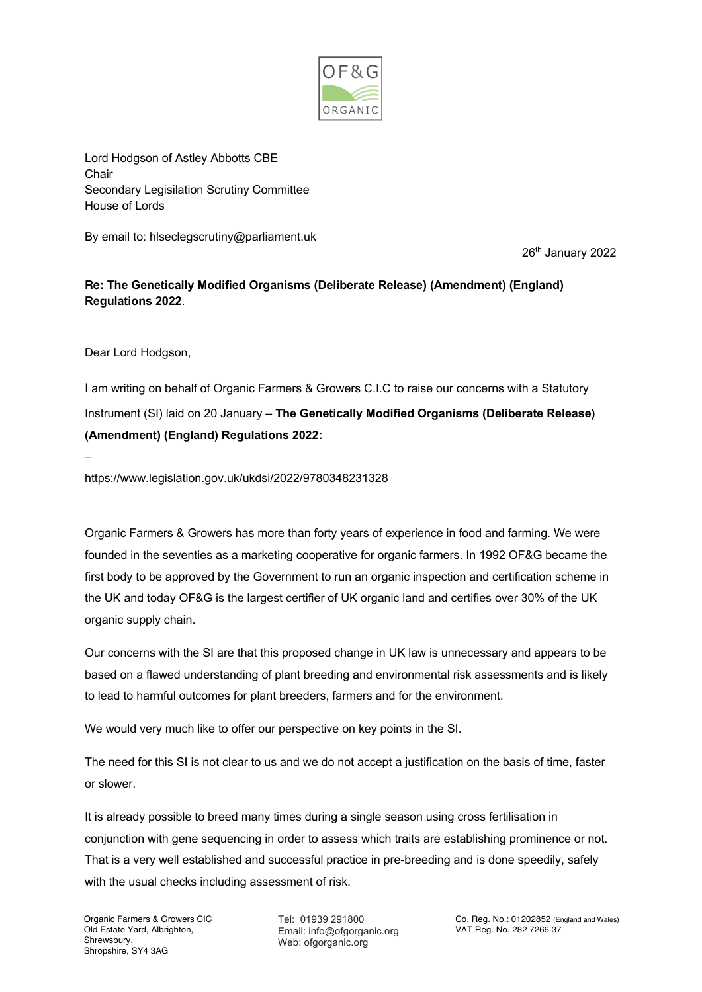

Lord Hodgson of Astley Abbotts CBE **Chair** Secondary Legisilation Scrutiny Committee House of Lords

By email to: hlseclegscrutiny@parliament.uk

26<sup>th</sup> January 2022

## **Re: The Genetically Modified Organisms (Deliberate Release) (Amendment) (England) Regulations 2022**.

Dear Lord Hodgson,

–

I am writing on behalf of Organic Farmers & Growers C.I.C to raise our concerns with a Statutory Instrument (SI) laid on 20 January – **The Genetically Modified Organisms (Deliberate Release) (Amendment) (England) Regulations 2022:**

https://www.legislation.gov.uk/ukdsi/2022/9780348231328

Organic Farmers & Growers has more than forty years of experience in food and farming. We were founded in the seventies as a marketing cooperative for organic farmers. In 1992 OF&G became the first body to be approved by the Government to run an organic inspection and certification scheme in the UK and today OF&G is the largest certifier of UK organic land and certifies over 30% of the UK organic supply chain.

Our concerns with the SI are that this proposed change in UK law is unnecessary and appears to be based on a flawed understanding of plant breeding and environmental risk assessments and is likely to lead to harmful outcomes for plant breeders, farmers and for the environment.

We would very much like to offer our perspective on key points in the SI.

The need for this SI is not clear to us and we do not accept a justification on the basis of time, faster or slower.

It is already possible to breed many times during a single season using cross fertilisation in conjunction with gene sequencing in order to assess which traits are establishing prominence or not. That is a very well established and successful practice in pre-breeding and is done speedily, safely with the usual checks including assessment of risk.

Tel: 01939 291800 Email: info@ofgorganic.org Web: ofgorganic.org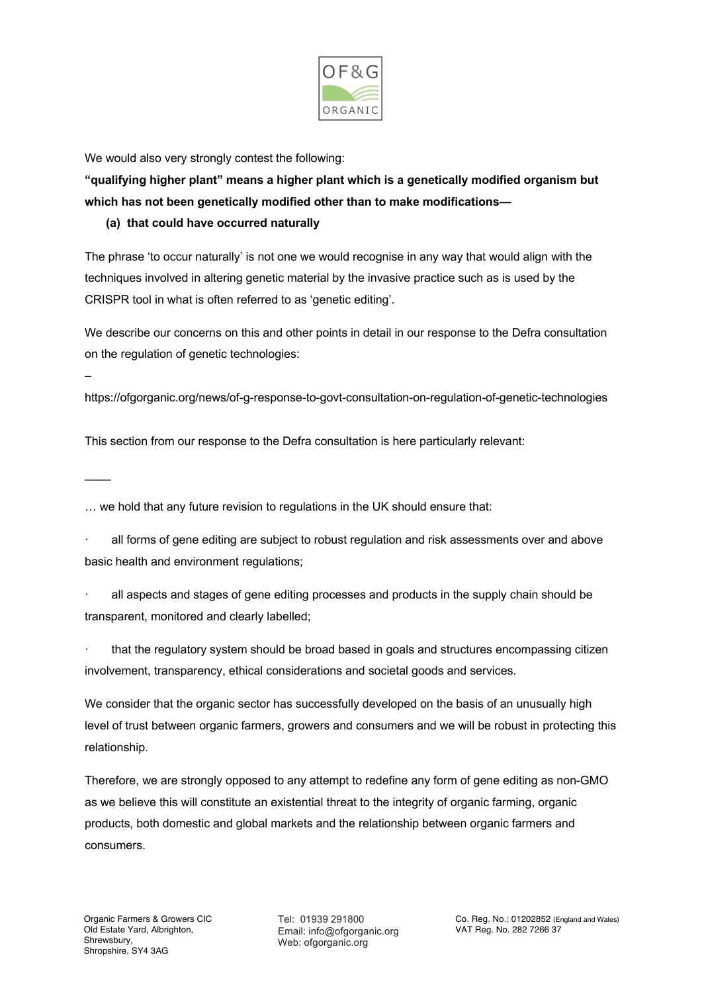

We would also very strongly contest the following:

**"qualifying higher plant" means a higher plant which is a genetically modified organism but which has not been genetically modified other than to make modifications—**

## **(a) that could have occurred naturally**

The phrase 'to occur naturally' is not one we would recognise in any way that would align with the techniques involved in altering genetic material by the invasive practice such as is used by the CRISPR tool in what is often referred to as 'genetic editing'.

We describe our concerns on this and other points in detail in our response to the Defra consultation on the regulation of genetic technologies:

https://ofgorganic.org/news/of-g-response-to-govt-consultation-on-regulation-of-genetic-technologies

This section from our response to the Defra consultation is here particularly relevant:

 $\overline{\phantom{a}}$ 

–

… we hold that any future revision to regulations in the UK should ensure that:

all forms of gene editing are subject to robust regulation and risk assessments over and above basic health and environment regulations;

all aspects and stages of gene editing processes and products in the supply chain should be transparent, monitored and clearly labelled;

that the regulatory system should be broad based in goals and structures encompassing citizen involvement, transparency, ethical considerations and societal goods and services.

We consider that the organic sector has successfully developed on the basis of an unusually high level of trust between organic farmers, growers and consumers and we will be robust in protecting this relationship.

Therefore, we are strongly opposed to any attempt to redefine any form of gene editing as non-GMO as we believe this will constitute an existential threat to the integrity of organic farming, organic products, both domestic and global markets and the relationship between organic farmers and consumers.